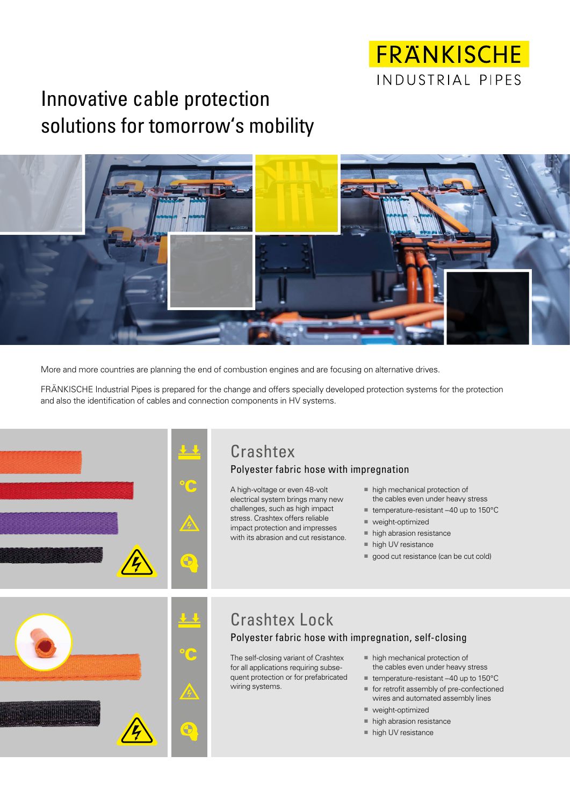# FRANKISCHE INDUSTRIAL PIPES

# Innovative cable protection solutions for tomorrow's mobility



More and more countries are planning the end of combustion engines and are focusing on alternative drives.

FRÄNKISCHE Industrial Pipes is prepared for the change and offers specially developed protection systems for the protection and also the identification of cables and connection components in HV systems.